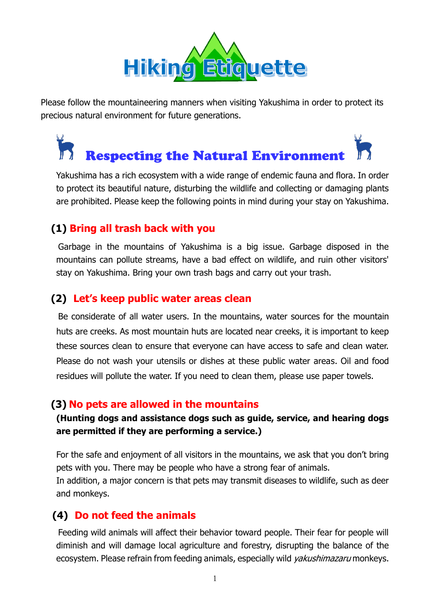

Please follow the mountaineering manners when visiting Yakushima in order to protect its precious natural environment for future generations.

# **Respecting the Natural Environment**

Yakushima has a rich ecosystem with a wide range of endemic fauna and flora. In order to protect its beautiful nature, disturbing the wildlife and collecting or damaging plants are prohibited. Please keep the following points in mind during your stay on Yakushima.

# **(1) Bring all trash back with you**

 Garbage in the mountains of Yakushima is a big issue. Garbage disposed in the mountains can pollute streams, have a bad effect on wildlife, and ruin other visitors' stay on Yakushima. Bring your own trash bags and carry out your trash.

# **(2) Let's keep public water areas clean**

 Be considerate of all water users. In the mountains, water sources for the mountain huts are creeks. As most mountain huts are located near creeks, it is important to keep these sources clean to ensure that everyone can have access to safe and clean water. Please do not wash your utensils or dishes at these public water areas. Oil and food residues will pollute the water. If you need to clean them, please use paper towels.

# **(3) No pets are allowed in the mountains**

### **(Hunting dogs and assistance dogs such as guide, service, and hearing dogs are permitted if they are performing a service.)**

For the safe and enjoyment of all visitors in the mountains, we ask that you don't bring pets with you. There may be people who have a strong fear of animals. In addition, a major concern is that pets may transmit diseases to wildlife, such as deer and monkeys.

# **(4) Do not feed the animals**

 Feeding wild animals will affect their behavior toward people. Their fear for people will diminish and will damage local agriculture and forestry, disrupting the balance of the ecosystem. Please refrain from feeding animals, especially wild *yakushimazaru* monkeys.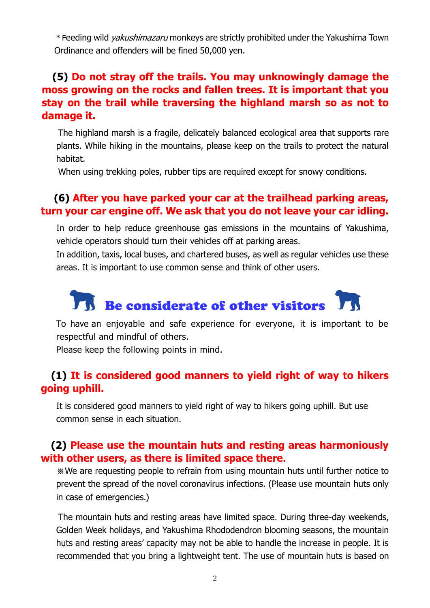\* Feeding wild yakushimazaru monkeys are strictly prohibited under the Yakushima Town Ordinance and offenders will be fined 50,000 yen.

# **(5) Do not stray off the trails. You may unknowingly damage the moss growing on the rocks and fallen trees. It is important that you stay on the trail while traversing the highland marsh so as not to damage it.**

 The highland marsh is a fragile, delicately balanced ecological area that supports rare plants. While hiking in the mountains, please keep on the trails to protect the natural habitat.

When using trekking poles, rubber tips are required except for snowy conditions.

# **(6) After you have parked your car at the trailhead parking areas, turn your car engine off. We ask that you do not leave your car idling.**

In order to help reduce greenhouse gas emissions in the mountains of Yakushima, vehicle operators should turn their vehicles off at parking areas.

In addition, taxis, local buses, and chartered buses, as well as regular vehicles use these areas. It is important to use common sense and think of other users.

# Ty Be considerate of other visitors

To have an enjoyable and safe experience for everyone, it is important to be respectful and mindful of others.

Please keep the following points in mind.

### **(1) It is considered good manners to yield right of way to hikers going uphill.**

It is considered good manners to yield right of way to hikers going uphill. But use common sense in each situation.

#### **(2) Please use the mountain huts and resting areas harmoniously with other users, as there is limited space there.**

※We are requesting people to refrain from using mountain huts until further notice to prevent the spread of the novel coronavirus infections. (Please use mountain huts only in case of emergencies.)

 The mountain huts and resting areas have limited space. During three-day weekends, Golden Week holidays, and Yakushima Rhododendron blooming seasons, the mountain huts and resting areas' capacity may not be able to handle the increase in people. It is recommended that you bring a lightweight tent. The use of mountain huts is based on